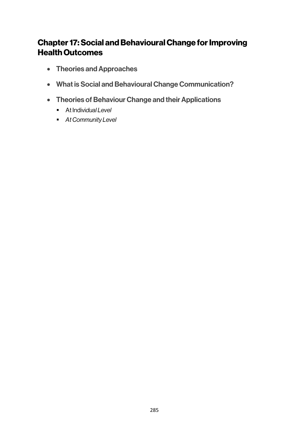# Chapter 17:Social and Behavioural Change for Improving Health Outcomes

- Theories and Approaches
- What is Social and Behavioural Change Communication?
- Theories of Behaviour Change and their Applications
	- § At Indivi*dual Level*
	- § *At Community Level*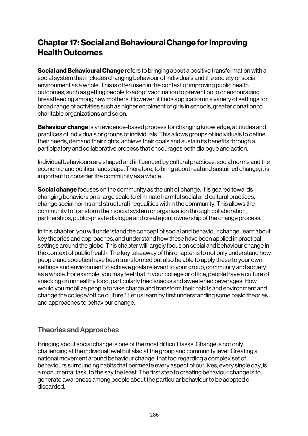# Chapter 17:Social and Behavioural Change for Improving Health Outcomes

**Social and Behavioural Change** refers to bringing about a positive transformation with a social system that includes changing behaviour of individuals and the society or social environment as a whole. This is often used in the context of improving public health outcomes, such as getting people to adopt vaccination to prevent polio or encouraging breastfeeding among new mothers. However, it finds application in a variety of settings for broad range of activities such as higher enrolment of girls in schools, greater donation to charitable organizations and so on.

**Behaviour change** is an evidence-based process for changing knowledge, attitudes and practices of individuals or groups of individuals. This allows groups of individuals to define their needs, demand their rights, achieve their goals and sustain its benefits through a participatory and collaborative process that encourages both dialogue and action.

Individual behaviours are shaped and influenced by cultural practices, social norms and the economic and political landscape. Therefore, to bring about real and sustained change, it is important to consider the community as a whole.

**Social change** focuses on the community as the unit of change. It is geared towards changing behaviors on a large scale to eliminate harmful social and cultural practices, change social norms and structural inequalities within the community. This allows the community to transform their social system or organization through collaboration, partnerships, public-private dialogue and create joint ownership of the change process.

In this chapter, you will understand the concept of social and behaviour change, learn about key theories and approaches, and understand how these have been applied in practical settings around the globe. This chapter will largely focus on social and behaviour change in the context of public health. The key takeaway of this chapter is to not only understand how people and societies have been transformed but also be able to apply these to your own settings and environment to achieve goals relevant to your group, community and society as a whole. For example, you may feel that in your college or office, people have a culture of snacking on unhealthy food, particularly fried snacks and sweetened beverages. How would you mobilize people to take charge and transform their habits and environment and change the college/office culture? Let us learn by first understanding some basic theories and approaches to behaviour change.

## Theories and Approaches

Bringing about social change is one of the most difficult tasks. Change is not only challenging at the individual level but also at the group and community level. Creating a national movement around behaviour change, that too regarding a complex set of behaviours surrounding habits that permeate every aspect of our lives, every single day, is a monumental task, to the say the least. The first step to creating behaviour change is to generate awareness among people about the particular behaviour to be adopted or discarded.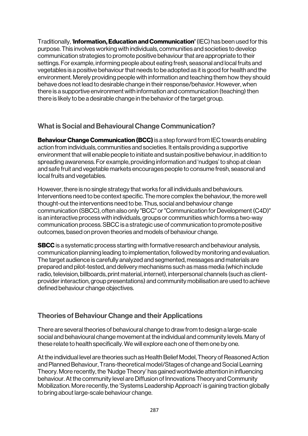Traditionally, 'Information, Education and Communication' (IEC) has been used for this purpose. This involves working with individuals, communities and societies to develop communication strategies to promote positive behaviour that are appropriate to their settings. For example, informing people about eating fresh, seasonal and local fruits and vegetables is a positive behaviour that needs to be adopted as it is good for health and the environment. Merely providing people with information and teaching them how they should behave does not lead to desirable change in their response/behavior. However, when there is a supportive environment with information and communication (teaching) then there is likely to be a desirable change in the behavior of the target group.

# What is Social and Behavioural Change Communication?

**Behaviour Change Communication (BCC)** is a step forward from IEC towards enabling action from individuals, communities and societies. It entails providing a supportive environment that will enable people to initiate and sustain positive behaviour, in addition to spreading awareness. For example, providing information and 'nudges' to shop at clean and safe fruit and vegetable markets encourages people to consume fresh, seasonal and local fruits and vegetables.

However, there is no single strategy that works for all individuals and behaviours. Interventions need to be context specific. The more complex the behaviour, the more well thought-out the interventions need to be. Thus, social and behaviour change communication (SBCC), often also only "BCC" or "Communication for Development (C4D)" is an interactive process with individuals, groups or communities which forms a two-way communication process. SBCC is a strategic use of communication to promote positive outcomes, based on proven theories and models of behaviour change.

**SBCC** is a systematic process starting with formative research and behaviour analysis, communication planning leading to implementation, followed by monitoring and evaluation. The target audience is carefully analyzed and segmented, messages and materials are prepared and pilot-tested, and delivery mechanisms such as mass media (which include radio, television, billboards, print material, internet), interpersonal channels (such as clientprovider interaction, group presentations) and community mobilisation are used to achieve defined behaviour change objectives.

# Theories of Behaviour Change and their Applications

There are several theories of behavioural change to draw from to design a large-scale social and behavioural change movement at the individual and community levels. Many of these relate to health specifically. We will explore each one of them one by one.

At the individual level are theories such as Health Belief Model, Theory of Reasoned Action and Planned Behaviour, Trans-theoretical model/Stages of change and Social Learning Theory. More recently, the 'Nudge Theory' has gained worldwide attention in influencing behaviour. At the community level are Diffusion of Innovations Theory and Community Mobilization. More recently, the 'Systems Leadership Approach' is gaining traction globally to bring about large-scale behaviour change.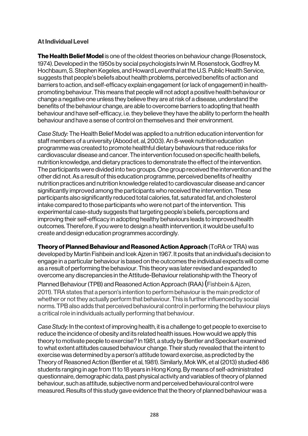#### At Individual Level

**The Health Belief Model** is one of the oldest theories on behaviour change (Rosenstock, 1974). Developed in the 1950s by social psychologists Irwin M. Rosenstock, Godfrey M. Hochbaum, S. Stephen Kegeles, and Howard Leventhal at the U.S. Public Health Service, suggests that people's beliefs about health problems, perceived benefits of action and barriers to action, and self-efficacy explain engagement (or lack of engagement) in healthpromoting behaviour. This means that people will not adopt a positive health behaviour or change a negative one unless they believe they are at risk of a disease, understand the benefits of the behaviour change, are able to overcome barriers to adopting that health behaviour and have self-efficacy, i.e. they believe they have the ability to perform the health behaviour and have a sense of control on themselves and their environment.

*Case Study:* The Health Belief Model was applied to a nutrition education intervention for staff members of a university (Abood et. al, 2003). An 8-week nutrition education programme was created to promote healthful dietary behaviours that reduce risks for cardiovascular disease and cancer. The intervention focused on specific health beliefs, nutrition knowledge, and dietary practices to demonstrate the effect of the intervention. The participants were divided into two groups. One group received the intervention and the other did not. As a result of this education programme, perceived benefits of healthy nutrition practices and nutrition knowledge related to cardiovascular disease and cancer significantly improved among the participants who received the intervention. These participants also significantly reduced total calories, fat, saturated fat, and cholesterol intake compared to those participants who were not part of the intervention. This experimental case-study suggests that targeting people's beliefs, perceptions and improving their self-efficacy in adopting healthy behaviours leads to improved health outcomes. Therefore, if you were to design a health intervention, it would be useful to create and design education programmes accordingly.

**Theory of Planned Behaviour and Reasoned Action Approach (ToRA or TRA) was** developed by Martin Fishbein and Icek Ajzen in 1967. It posits that an individual's decision to engage in a particular behaviour is based on the outcomes the individual expects will come as a result of performing the behaviour. This theory was later revised and expanded to overcome any discrepancies in the Attitude-Behaviour relationship with the Theory of

Planned Behaviour (TPB) and Reasoned Action Approach (RAA)(Fishbein & Ajzen, 2011). TRA states that a person's intention to perform behaviour is the main predictor of whether or not they actually perform that behaviour. This is further influenced by social norms. TPB also adds that perceived behavioural control in performing the behaviour plays a critical role in individuals actually performing that behaviour.

*Case Study:* In the context of improving health, it is a challenge to get people to exercise to reduce the incidence of obesity and its related health issues. How would we apply this theory to motivate people to exercise? In 1981, a study by Bentler and Speckart examined to what extent attitudes caused behaviour change. Their study revealed that the intent to exercise was determined by a person's attitude toward exercise, as predicted by the Theory of Reasoned Action (Bentler et al, 1981). Similarly, Mok WK, et al (2013) studied 486 students ranging in age from 11 to 18 years in Hong Kong. By means of self-administrated questionnaire, demographic data, past physical activity and variables of theory of planned behaviour, such as attitude, subjective norm and perceived behavioural control were measured. Results of this study gave evidence that the theory of planned behaviour was a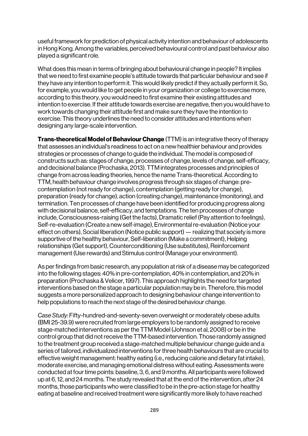useful framework for prediction of physical activity intention and behaviour of adolescents in Hong Kong. Among the variables, perceived behavioural control and past behaviour also played a significant role.

What does this mean in terms of bringing about behavioural change in people? It implies that we need to first examine people's attitude towards that particular behaviour and see if they have any intention to perform it. This would likely predict if they actually perform it. So, for example, you would like to get people in your organization or college to exercise more, according to this theory, you would need to first examine their existing attitudes and intention to exercise. If their attitude towards exercise are negative, then you would have to work towards changing their attitude first and make sure they have the intention to exercise. This theory underlines the need to consider attitudes and intentions when designing any large-scale intervention.

Trans-theoretical Model of Behaviour Change (TTM) is an integrative theory of therapy that assesses an individual's readiness to act on a new healthier behaviour and provides strategies or processes of change to guide the individual. The model is composed of constructs such as: stages of change, processes of change, levels of change, self-efficacy, and decisional balance (Prochaska, 2013). TTM integrates processes and principles of change from across leading theories, hence the name Trans-theoretical. According to TTM, health behaviour change involves progress through six stages of change: precontemplation (not ready for change), contemplation (getting ready for change), preparation (ready for change), action (creating change), maintenance (monitoring), and termination. Ten processes of change have been identified for producing progress along with decisional balance, self-efficacy, and temptations. The ten processes of change include, Consciousness-raising (Get the facts), Dramatic relief (Pay attention to feelings), Self-re-evaluation (Create a new self-image), Environmental re-evaluation (Notice your effect on others), Social liberation (Notice public support) —realizing that society is more supportive of the healthy behaviour, Self-liberation (Make a commitment), Helping relationships (Get support), Counterconditioning (Use substitutes), Reinforcement management (Use rewards) and Stimulus control (Manage your environment).

As per findings from basic research, any population at risk of a disease may be categorized into the following stages: 40% in pre-contemplation, 40% in contemplation, and 20% in preparation (Prochaska & Velicer, 1997). This approach highlights the need for targeted interventions based on the stage a particular population may be in. Therefore, this model suggests a more personalized approach to designing behaviour change intervention to help populations to reach the next stage of the desired behaviour change.

*Case Study:* Fifty-hundred-and-seventy-seven overweight or moderately obese adults (BMI 25-39.9) were recruited from large employers to be randomly assigned to receive stage-matched interventions as per the TTM Model (Johnson et al, 2008) or be in the control group that did not receive the TTM-based intervention. Those randomly assigned to the treatment group received a stage-matched multiple behaviour change guide and a series of tailored, individualized interventions for three health behaviours that are crucial to effective weight management: healthy eating (i.e., reducing calorie and dietary fat intake), moderate exercise, and managing emotional distress without eating. Assessments were conducted at four time points: baseline, 3, 6, and 9 months. All participants were followed up at 6, 12, and 24 months. The study revealed that at the end of the intervention, after 24 months, those participants who were classified to be in the pre-action stage for healthy eating at baseline and received treatment were significantly more likely to have reached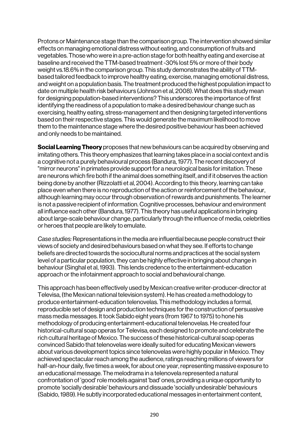Protons or Maintenance stage than the comparison group. The intervention showed similar effects on managing emotional distress without eating, and consumption of fruits and vegetables. Those who were in a pre-action stage for both healthy eating and exercise at baseline and received the TTM-based treatment -30% lost 5% or more of their body weight vs.18.6% in the comparison group. This study demonstrates the ability of TTMbased tailored feedback to improve healthy eating, exercise, managing emotional distress, and weight on a population basis. The treatment produced the highest population impact to date on multiple health risk behaviours (Johnson et al, 2008). What does this study mean for designing population-based interventions? This underscores the importance of first identifying the readiness of a population to make a desired behaviour change such as exercising, healthy eating, stress-management and then designing targeted interventions based on their respective stages. This would generate the maximum likelihood to move them to the maintenance stage where the desired positive behaviour has been achieved and only needs to be maintained.

**Social Learning Theory** proposes that new behaviours can be acquired by observing and imitating others. This theory emphasizes that learning takes place in a social context and is a cognitive not a purely behavioural process (Bandura, 1977). The recent discovery of "mirror neurons" in primates provide support for a neurological basis for imitation. These are neurons which fire both if the animal does something itself, and if it observes the action being done by another (Rizzolatti et al, 2004). According to this theory, learning can take place even when there is no reproduction of the action or reinforcement of the behaviour, although learning may occur through observation of rewards and punishments. The learner is not a passive recipient of information. Cognitive processes, behaviour and environment all influence each other (Bandura, 1977). This theory has useful applications in bringing about large-scale behaviour change, particularly through the influence of media, celebrities or heroes that people are likely to emulate.

*Case studies:* Representations in the media are influential because people construct their views of society and desired behaviours based on what they see. If efforts to change beliefs are directed towards the sociocultural norms and practices at the social system level of a particular population, they can be highly effective in bringing about change in behaviour (Singhal et al, 1993). This lends credence to the entertainment-education approach or the infotainment approach to social and behavioural change.

This approach has been effectively used by Mexican creative writer-producer-director at Televisa, (the Mexican national television system). He has created a methodology to produce entertainment-education telenovelas. This methodology includes a formal, reproducible set of design and production techniques for the construction of persuasive mass media messages. It took Sabido eight years (from 1967 to 1975) to hone his methodology of producing entertainment-educational telenovelas. He created four historical-cultural soap operas for Televisa, each designed to promote and celebrate the rich cultural heritage of Mexico. The success of these historical-cultural soap operas convinced Sabido that telenovelas were ideally suited for educating Mexican viewers about various development topics since telenovelas were highly popular in Mexico. They achieved spectacular reach among the audience, ratings reaching millions of viewers for half-an-hour daily, five times a week, for about one year, representing massive exposure to an educational message. The melodrama in a telenovela represented a natural confrontation of 'good' role models against 'bad' ones, providing a unique opportunity to promote 'socially desirable' behaviours and dissuade 'socially undesirable' behaviours (Sabido, 1989). He subtly incorporated educational messages in entertainment content,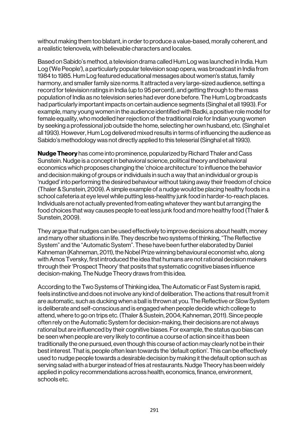without making them too blatant, in order to produce a value-based, morally coherent, and a realistic telenovela, with believable characters and locales.

Based on Sabido's method, a television drama called Hum Log was launched in India. Hum Log ('We People'), a particularly popular television soap opera, was broadcast in India from 1984 to 1985. Hum Log featured educational messages about women's status, family harmony, and smaller family size norms. It attracted a very large-sized audience, setting a record for television ratings in India (up to 95 percent), and getting through to the mass population of India as no television series had ever done before. The Hum Log broadcasts had particularly important impacts on certain audience segments (Singhal et all 1993). For example, many young women in the audience identified with Badki, a positive role model for female equality, who modelled her rejection of the traditional role for Indian young women by seeking a professional job outside the home, selecting her own husband, etc. (Singhal et all 1993). However, Hum Log delivered mixed results in terms of influencing the audience as Sabido's methodology was not directly applied to this teleserial (Singhal et all 1993).

**Nudge Theory** has come into prominence, popularized by Richard Thaler and Cass Sunstein. Nudge is a concept in behavioral science, political theory and behavioral economics which proposes changing the 'choice architecture' to influence the behavior and decision making of groups or individuals in such a way that an individual or group is 'nudged' into performing the desired behaviour without taking away their freedom of choice (Thaler & Sunstein, 2009). A simple example of a nudge would be placing healthy foods in a school cafeteria at eye level while putting less-healthy junk food in harder-to-reach places. Individuals are not actually prevented from eating whatever they want but arranging the food choices that way causes people to eat less junk food and more healthy food (Thaler & Sunstein, 2009).

They argue that nudges can be used effectively to improve decisions about health, money and many other situations in life. They describe two systems of thinking, "The Reflective System" and the "Automatic System". These have been further elaborated by Daniel Kahneman (Kahneman, 2011), the Nobel Prize winning behavioural economist who, along with Amos Tversky, first introduced the idea that humans are not rational decision makers through their 'Prospect Theory' that posits that systematic cognitive biases influence decision-making. The Nudge Theory draws from this idea.

According to the Two Systems of Thinking idea, The Automatic or Fast System is rapid, feels instinctive and does not involve any kind of deliberation. The actions that result from it are automatic, such as ducking when a ball is thrown at you. The Reflective or Slow System is deliberate and self-conscious and is engaged when people decide which college to attend, where to go on trips etc. (Thaler & Sustein, 2004; Kahneman, 2011). Since people often rely on the Automatic System for decision-making, their decisions are not always rational but are influenced by their cognitive biases. For example, the status quo bias can be seen when people are very likely to continue a course of action since it has been traditionally the one pursued, even though this course of action may clearly not be in their best interest. That is, people often lean towards the 'default option'. This can be effectively used to nudge people towards a desirable decision by making it the default option such as serving salad with a burger instead of fries at restaurants. Nudge Theory has been widely applied in policy recommendations across health, economics, finance, environment, schools etc.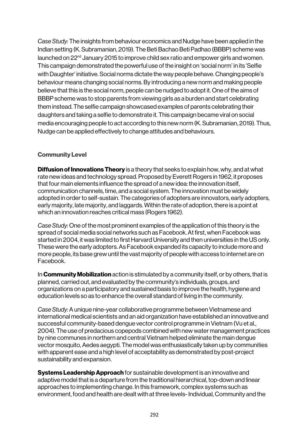*Case Study:* The insights from behaviour economics and Nudge have been applied in the Indian setting (K. Subramanian, 2019). The Beti Bachao Beti Padhao (BBBP) scheme was launched on 22nd January 2015 to improve child sex ratio and empower girls and women. This campaign demonstrated the powerful use of the insight on 'social norm' in its 'Selfie with Daughter' initiative. Social norms dictate the way people behave. Changing people's behaviour means changing social norms. By introducing a new norm and making people believe that this is the social norm, people can be nudged to adopt it. One of the aims of BBBP scheme was to stop parents from viewing girls as a burden and start celebrating them instead. The selfie campaign showcased examples of parents celebrating their daughters and taking a selfie to demonstrate it. This campaign became viral on social media encouraging people to act according to this new norm (K. Subramanian, 2019). Thus, Nudge can be applied effectively to change attitudes and behaviours.

#### Community Level

**Diffusion of Innovations Theory** is a theory that seeks to explain how, why, and at what rate new ideas and technology spread. Proposed by Everett Rogers in 1962, it proposes that four main elements influence the spread of a new idea: the innovation itself, communication channels, time, and a social system. The innovation must be widely adopted in order to self-sustain. The categories of adopters are innovators, early adopters, early majority, late majority, and laggards. Within the rate of adoption, there is a point at which an innovation reaches critical mass (Rogers 1962).

*Case Study:* One of the most prominent examples of the application of this theory is the spread of social media social networks such as Facebook. At first, when Facebook was started in 2004, it was limited to first Harvard University and then universities in the US only. These were the early adopters. As Facebook expanded its capacity to include more and more people, its base grew until the vast majority of people with access to internet are on Facebook.

In **Community Mobilization** action is stimulated by a community itself, or by others, that is planned, carried out, and evaluated by the community's individuals, groups, and organizations on a participatory and sustained basis to improve the health, hygiene and education levels so as to enhance the overall standard of living in the community.

*Case Study:* A unique nine-year collaborative programme between Vietnamese and international medical scientists and an aid organization have established an innovative and successful community-based dengue vector control programme in Vietnam (Vu et al., 2004). The use of predacious copepods combined with new water management practices by nine communes in northern and central Vietnam helped eliminate the main dengue vector mosquito, Aedes aegypti. The model was enthusiastically taken up by communities with apparent ease and a high level of acceptability as demonstrated by post-project sustainability and expansion.

**Systems Leadership Approach** for sustainable development is an innovative and adaptive model that is a departure from the traditional hierarchical, top-down and linear approaches to implementing change. In this framework, complex systems such as environment, food and health are dealt with at three levels-Individual, Community and the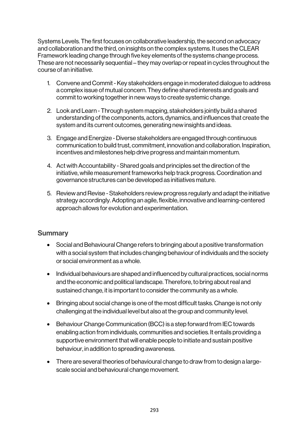Systems Levels. The first focuses on collaborative leadership, the second on advocacy and collaboration and the third, on insights on the complex systems. It uses the CLEAR Framework leading change through five key elements of the systems change process. These are not necessarily sequential – they may overlap or repeat in cycles throughout the course of an initiative.

- 1. Convene and Commit Key stakeholders engage in moderated dialogue to address a complex issue of mutual concern. They define shared interests and goals and commit to working together in new ways to create systemic change.
- 2. Look and Learn Through system mapping, stakeholders jointly build a shared understanding of the components, actors, dynamics, and influences that create the system and its current outcomes, generating new insights and ideas.
- 3. Engage and Energize -Diverse stakeholders are engaged through continuous communication to build trust, commitment, innovation and collaboration. Inspiration, incentives and milestones help drive progress and maintain momentum.
- 4. Act with Accountability Shared goals and principles set the direction of the initiative, while measurement frameworks help track progress. Coordination and governance structures can be developed as initiatives mature.
- 5. Review and Revise Stakeholders review progress regularly and adapt the initiative strategy accordingly. Adopting an agile, flexible, innovative and learning-centered approach allows for evolution and experimentation.

#### **Summary**

- Social and Behavioural Change refers to bringing about a positive transformation with a social system that includes changing behaviour of individuals and the society or social environment as a whole.
- Individual behaviours are shaped and influenced by cultural practices, social norms and the economic and political landscape. Therefore, to bring about real and sustained change, it is important to consider the community as a whole.
- Bringing about social change is one of the most difficult tasks. Change is not only challenging at the individual level but also at the group and community level.
- Behaviour Change Communication (BCC) is a step forward from IEC towards enabling action from individuals, communities and societies. It entails providing a supportive environment that will enable people to initiate and sustain positive behaviour, in addition to spreading awareness.
- There are several theories of behavioural change to draw from to design a largescale social and behavioural change movement.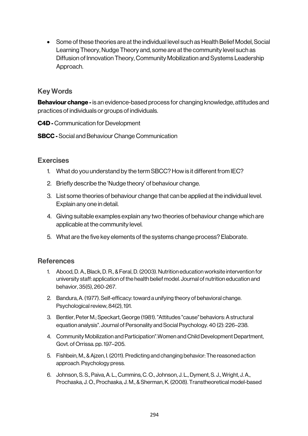• Some of these theories are at the individual level such as Health Belief Model, Social Learning Theory, Nudge Theory and, some are at the community level such as Diffusion of Innovation Theory, Community Mobilization and Systems Leadership Approach.

### Key Words

**Behaviour change -** is an evidence-based process for changing knowledge, attitudes and practices of individuals or groups of individuals.

C4D - Communication for Development

SBCC -Social and Behaviour Change Communication

## **Exercises**

- 1. What do you understand by the term SBCC? How is it different from IEC?
- 2. Briefly describe the 'Nudge theory' of behaviour change.
- 3. List some theories of behaviour change that can be applied at the individual level. Explain any one in detail.
- 4. Giving suitable examples explain any two theories of behaviour change which are applicable at the community level.
- 5. What are the five key elements of the systems change process? Elaborate.

## **References**

- 1. Abood, D. A., Black, D. R., & Feral, D. (2003). Nutrition education worksite intervention for university staff: application of the health belief model. Journal of nutrition education and behavior, 35(5), 260-267.
- 2. Bandura, A. (1977). Self-efficacy: toward a unifying theory of behavioral change. Psychological review, 84(2), 191.
- 3. Bentler, Peter M.; Speckart, George (1981). "Attitudes "cause" behaviors: A structural equation analysis". Journal of Personality and Social Psychology. 40 (2): 226–238.
- 4. Community Mobilization and Participation".Women and Child Development Department, Govt. of Orrissa. pp. 197–205.
- 5. Fishbein, M., & Ajzen, I. (2011). Predicting and changing behavior: The reasoned action approach. Psychology press.
- 6. Johnson, S. S., Paiva, A. L., Cummins, C. O., Johnson, J. L., Dyment, S. J., Wright, J. A., Prochaska, J. O., Prochaska, J. M., & Sherman, K. (2008). Transtheoretical model-based